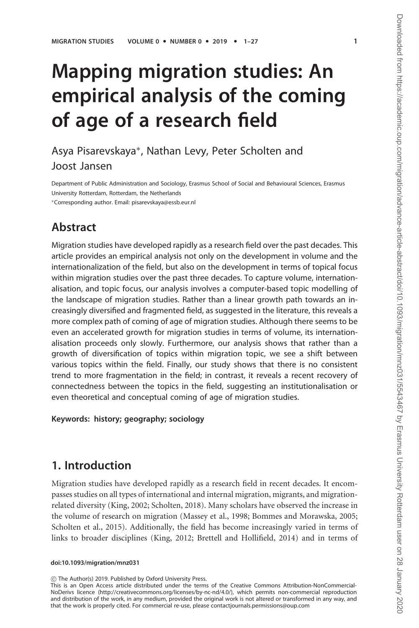# Mapping migration studies: An empirical analysis of the coming of age of a research field

# Asya Pisarevskaya\*, Nathan Levy, Peter Scholten and Joost Jansen

Department of Public Administration and Sociology, Erasmus School of Social and Behavioural Sciences, Erasmus University Rotterdam, Rotterdam, the Netherlands -Corresponding author. Email: pisarevskaya@essb.eur.nl

Abstract

Migration studies have developed rapidly as a research field over the past decades. This article provides an empirical analysis not only on the development in volume and the internationalization of the field, but also on the development in terms of topical focus within migration studies over the past three decades. To capture volume, internationalisation, and topic focus, our analysis involves a computer-based topic modelling of the landscape of migration studies. Rather than a linear growth path towards an increasingly diversified and fragmented field, as suggested in the literature, this reveals a more complex path of coming of age of migration studies. Although there seems to be even an accelerated growth for migration studies in terms of volume, its internationalisation proceeds only slowly. Furthermore, our analysis shows that rather than a growth of diversification of topics within migration topic, we see a shift between various topics within the field. Finally, our study shows that there is no consistent trend to more fragmentation in the field; in contrast, it reveals a recent recovery of connectedness between the topics in the field, suggesting an institutionalisation or even theoretical and conceptual coming of age of migration studies.

Keywords: history; geography; sociology

## 1. Introduction

Migration studies have developed rapidly as a research field in recent decades. It encompasses studies on all types of international and internal migration, migrants, and migrationrelated diversity [\(King, 2002;](#page-25-0) [Scholten, 2018](#page-26-0)). Many scholars have observed the increase in the volume of research on migration [\(Massey et al., 1998;](#page-25-0) [Bommes and Morawska, 2005;](#page-24-0) [Scholten et al., 2015\)](#page-26-0). Additionally, the field has become increasingly varied in terms of links to broader disciplines [\(King, 2012;](#page-25-0) [Brettell and Hollifield, 2014\)](#page-24-0) and in terms of

#### doi:10.1093/migration/mnz031

<sup>!</sup> The Author(s) 2019. Published by Oxford University Press.

This is an Open Access article distributed under the terms of the Creative Commons Attribution-NonCommercial-NoDerivs licence [\(http://creativecommons.org/licenses/by-nc-nd/4.0/\)](XPath error Undefined namespace prefix), which permits non-commercial reproduction and distribution of the work, in any medium, provided the original work is not altered or transformed in any way, and that the work is properly cited. For commercial re-use, please contactjournals.permissions@oup.com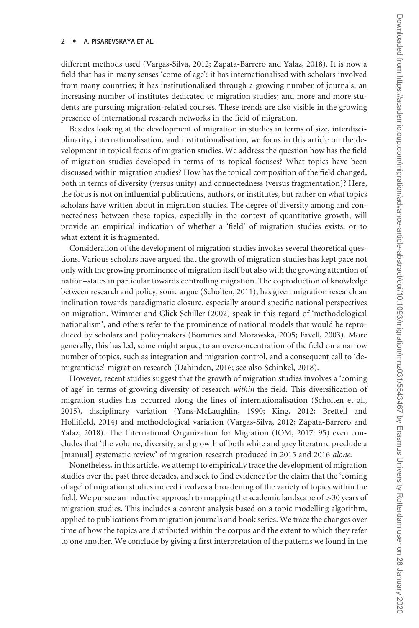#### 2 · A. PISAREVSKAYA ET AL.

different methods used [\(Vargas-Silva, 2012; Zapata-Barrero and Yalaz, 2018\)](#page-26-0). It is now a field that has in many senses 'come of age': it has internationalised with scholars involved from many countries; it has institutionalised through a growing number of journals; an increasing number of institutes dedicated to migration studies; and more and more students are pursuing migration-related courses. These trends are also visible in the growing presence of international research networks in the field of migration.

Besides looking at the development of migration in studies in terms of size, interdisciplinarity, internationalisation, and institutionalisation, we focus in this article on the development in topical focus of migration studies. We address the question how has the field of migration studies developed in terms of its topical focuses? What topics have been discussed within migration studies? How has the topical composition of the field changed, both in terms of diversity (versus unity) and connectedness (versus fragmentation)? Here, the focus is not on influential publications, authors, or institutes, but rather on what topics scholars have written about in migration studies. The degree of diversity among and connectedness between these topics, especially in the context of quantitative growth, will provide an empirical indication of whether a 'field' of migration studies exists, or to what extent it is fragmented.

Consideration of the development of migration studies invokes several theoretical questions. Various scholars have argued that the growth of migration studies has kept pace not only with the growing prominence of migration itself but also with the growing attention of nation–states in particular towards controlling migration. The coproduction of knowledge between research and policy, some argue ([Scholten, 2011](#page-26-0)), has given migration research an inclination towards paradigmatic closure, especially around specific national perspectives on migration. [Wimmer and Glick Schiller \(2002\)](#page-26-0) speak in this regard of 'methodological nationalism', and others refer to the prominence of national models that would be reproduced by scholars and policymakers [\(Bommes and Morawska, 2005](#page-24-0); [Favell, 2003\)](#page-24-0). More generally, this has led, some might argue, to an overconcentration of the field on a narrow number of topics, such as integration and migration control, and a consequent call to 'demigranticise' migration research [\(Dahinden, 2016;](#page-24-0) see also [Schinkel, 2018\)](#page-26-0).

However, recent studies suggest that the growth of migration studies involves a 'coming of age' in terms of growing diversity of research within the field. This diversification of migration studies has occurred along the lines of internationalisation [\(Scholten et al.,](#page-26-0) [2015\)](#page-26-0), disciplinary variation ([Yans-McLaughlin, 1990;](#page-26-0) [King, 2012](#page-25-0); [Brettell and](#page-24-0) [Hollifield, 2014](#page-24-0)) and methodological variation ([Vargas-Silva, 2012](#page-26-0); [Zapata-Barrero and](#page-26-0) [Yalaz, 2018](#page-26-0)). The International Organization for Migration [\(IOM, 2017:](#page-25-0) 95) even concludes that 'the volume, diversity, and growth of both white and grey literature preclude a [manual] systematic review' of migration research produced in 2015 and 2016 alone.

Nonetheless, in this article, we attempt to empirically trace the development of migration studies over the past three decades, and seek to find evidence for the claim that the 'coming of age' of migration studies indeed involves a broadening of the variety of topics within the field. We pursue an inductive approach to mapping the academic landscape of >30 years of migration studies. This includes a content analysis based on a topic modelling algorithm, applied to publications from migration journals and book series. We trace the changes over time of how the topics are distributed within the corpus and the extent to which they refer to one another. We conclude by giving a first interpretation of the patterns we found in the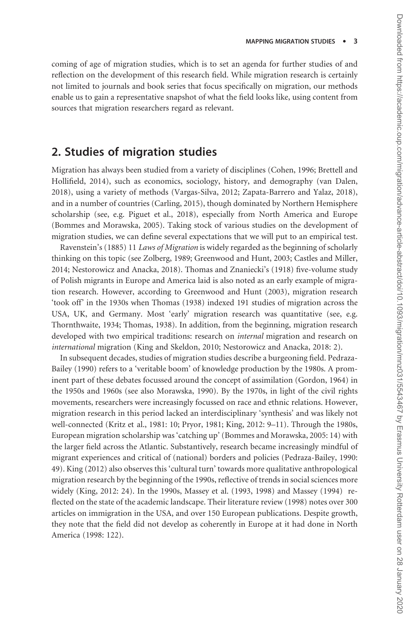coming of age of migration studies, which is to set an agenda for further studies of and reflection on the development of this research field. While migration research is certainly not limited to journals and book series that focus specifically on migration, our methods enable us to gain a representative snapshot of what the field looks like, using content from sources that migration researchers regard as relevant.

### 2. Studies of migration studies

Migration has always been studied from a variety of disciplines [\(Cohen, 1996; Brettell and](#page-24-0) [Hollifield, 2014\)](#page-24-0), such as economics, sociology, history, and demography ([van Dalen,](#page-26-0) [2018\)](#page-26-0), using a variety of methods [\(Vargas-Silva, 2012](#page-26-0); [Zapata-Barrero and Yalaz, 2018](#page-26-0)), and in a number of countries [\(Carling, 2015](#page-24-0)), though dominated by Northern Hemisphere scholarship (see, e.g. [Piguet et al., 2018\)](#page-26-0), especially from North America and Europe ([Bommes and Morawska, 2005](#page-24-0)). Taking stock of various studies on the development of migration studies, we can define several expectations that we will put to an empirical test.

[Ravenstein's \(1885\)](#page-26-0) 11 Laws of Migration is widely regarded as the beginning of scholarly thinking on this topic (see [Zolberg, 1989;](#page-26-0) [Greenwood and Hunt, 2003](#page-25-0); [Castles and Miller,](#page-24-0) [2014;](#page-24-0) [Nestorowicz and Anacka, 2018\)](#page-25-0). Thomas and Znaniecki's (1918) five-volume study of Polish migrants in Europe and America laid is also noted as an early example of migration research. However, according to [Greenwood and Hunt \(2003](#page-25-0)), migration research 'took off' in the 1930s when [Thomas \(1938\)](#page-26-0) indexed 191 studies of migration across the USA, UK, and Germany. Most 'early' migration research was quantitative (see, e.g. [Thornthwaite, 1934; Thomas, 1938\)](#page-26-0). In addition, from the beginning, migration research developed with two empirical traditions: research on internal migration and research on international migration [\(King and Skeldon, 2010](#page-25-0); [Nestorowicz and Anacka, 2018:](#page-25-0) 2).

In subsequent decades, studies of migration studies describe a burgeoning field. [Pedraza-](#page-25-0)[Bailey \(1990\)](#page-25-0) refers to a 'veritable boom' of knowledge production by the 1980s. A prominent part of these debates focussed around the concept of assimilation [\(Gordon, 1964\)](#page-25-0) in the 1950s and 1960s (see also [Morawska, 1990](#page-25-0)). By the 1970s, in light of the civil rights movements, researchers were increasingly focussed on race and ethnic relations. However, migration research in this period lacked an interdisciplinary 'synthesis' and was likely not well-connected ([Kritz et al., 1981:](#page-25-0) 10; [Pryor, 1981](#page-26-0); [King, 2012:](#page-25-0) 9–11). Through the 1980s, European migration scholarship was 'catching up' [\(Bommes and Morawska, 2005](#page-24-0): 14) with the larger field across the Atlantic. Substantively, research became increasingly mindful of migrant experiences and critical of (national) borders and policies ([Pedraza-Bailey, 1990:](#page-25-0) 49). [King \(2012\)](#page-25-0) also observes this 'cultural turn' towards more qualitative anthropological migration research by the beginning of the 1990s, reflective of trends in social sciences more widely ([King, 2012](#page-25-0): 24). In the 1990s, [Massey et al. \(1993, 1998\)](#page-25-0) and [Massey \(1994\)](#page-25-0) reflected on the state of the academic landscape. Their literature review (1998) notes over 300 articles on immigration in the USA, and over 150 European publications. Despite growth, they note that the field did not develop as coherently in Europe at it had done in North America (1998: 122).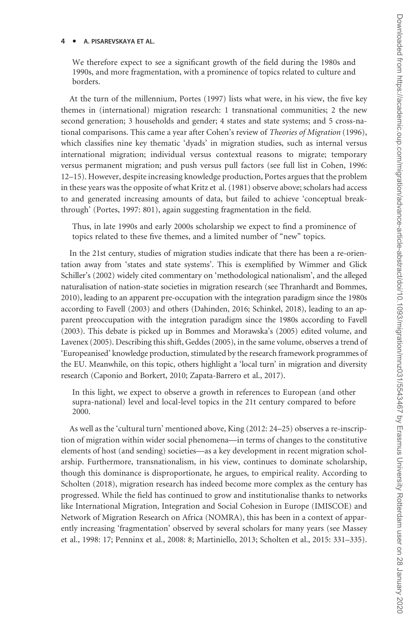#### 4 · A. PISAREVSKAYA ET AL.

We therefore expect to see a significant growth of the field during the 1980s and 1990s, and more fragmentation, with a prominence of topics related to culture and borders.

At the turn of the millennium, [Portes \(1997\)](#page-26-0) lists what were, in his view, the five key themes in (international) migration research: 1 transnational communities; 2 the new second generation; 3 households and gender; 4 states and state systems; and 5 cross-national comparisons. This came a year after Cohen's review of Theories of Migration (1996), which classifies nine key thematic 'dyads' in migration studies, such as internal versus international migration; individual versus contextual reasons to migrate; temporary versus permanent migration; and push versus pull factors (see full list in [Cohen, 1996:](#page-24-0) 12–15). However, despite increasing knowledge production, Portes argues that the problem in these years was the opposite of what [Kritz et al. \(1981\)](#page-25-0) observe above; scholars had access to and generated increasing amounts of data, but failed to achieve 'conceptual breakthrough' ([Portes, 1997](#page-26-0): 801), again suggesting fragmentation in the field.

Thus, in late 1990s and early 2000s scholarship we expect to find a prominence of topics related to these five themes, and a limited number of "new" topics.

In the 21st century, studies of migration studies indicate that there has been a re-orientation away from 'states and state systems'. This is exemplified by [Wimmer and Glick](#page-26-0) [Schiller's \(2002\)](#page-26-0) widely cited commentary on 'methodological nationalism', and the alleged naturalisation of nation-state societies in migration research (see [Thranhardt and Bommes,](#page-26-0) [2010](#page-26-0)), leading to an apparent pre-occupation with the integration paradigm since the 1980s according to [Favell \(2003\)](#page-24-0) and others [\(Dahinden, 2016;](#page-24-0) [Schinkel, 2018](#page-26-0)), leading to an apparent preoccupation with the integration paradigm since the 1980s according to [Favell](#page-24-0) [\(2003\).](#page-24-0) This debate is picked up in [Bommes and Morawska's \(2005\)](#page-24-0) edited volume, and [Lavenex \(2005\)](#page-25-0). Describing this shift, [Geddes \(2005\),](#page-25-0) in the same volume, observes a trend of 'Europeanised' knowledge production, stimulated by the research framework programmes of the EU. Meanwhile, on this topic, others highlight a 'local turn' in migration and diversity research [\(Caponio and Borkert, 2010](#page-24-0); [Zapata-Barrero et al., 2017\)](#page-26-0).

In this light, we expect to observe a growth in references to European (and other supra-national) level and local-level topics in the 21t century compared to before 2000.

As well as the 'cultural turn' mentioned above, [King \(2012](#page-25-0): 24–25) observes a re-inscription of migration within wider social phenomena—in terms of changes to the constitutive elements of host (and sending) societies—as a key development in recent migration scholarship. Furthermore, transnationalism, in his view, continues to dominate scholarship, though this dominance is disproportionate, he argues, to empirical reality. According to [Scholten \(2018\),](#page-26-0) migration research has indeed become more complex as the century has progressed. While the field has continued to grow and institutionalise thanks to networks like International Migration, Integration and Social Cohesion in Europe (IMISCOE) and Network of Migration Research on Africa (NOMRA), this has been in a context of apparently increasing 'fragmentation' observed by several scholars for many years (see [Massey](#page-25-0) [et al., 1998:](#page-25-0) 17; [Penninx et al., 2008](#page-25-0): 8; [Martiniello, 2013;](#page-25-0) [Scholten et al., 2015](#page-26-0): 331–335).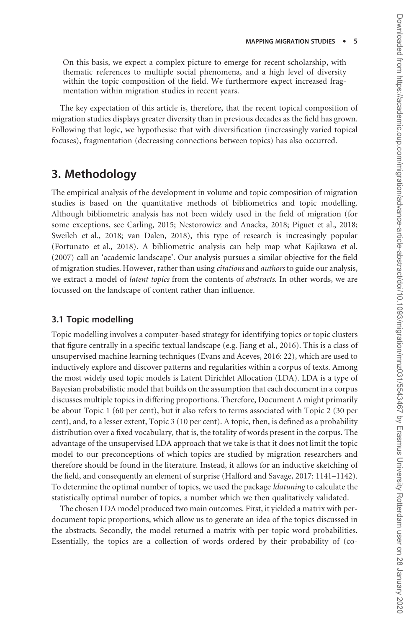On this basis, we expect a complex picture to emerge for recent scholarship, with thematic references to multiple social phenomena, and a high level of diversity within the topic composition of the field. We furthermore expect increased fragmentation within migration studies in recent years.

The key expectation of this article is, therefore, that the recent topical composition of migration studies displays greater diversity than in previous decades as the field has grown. Following that logic, we hypothesise that with diversification (increasingly varied topical focuses), fragmentation (decreasing connections between topics) has also occurred.

# 3. Methodology

The empirical analysis of the development in volume and topic composition of migration studies is based on the quantitative methods of bibliometrics and topic modelling. Although bibliometric analysis has not been widely used in the field of migration (for some exceptions, see [Carling, 2015;](#page-24-0) [Nestorowicz and Anacka, 2018](#page-25-0); [Piguet et al., 2018;](#page-26-0) [Sweileh et al., 2018](#page-26-0); [van Dalen, 2018\)](#page-26-0), this type of research is increasingly popular ([Fortunato et al., 2018\)](#page-24-0). A bibliometric analysis can help map what [Kajikawa et al.](#page-25-0) [\(2007\)](#page-25-0) call an 'academic landscape'. Our analysis pursues a similar objective for the field of migration studies. However, rather than using citations and authors to guide our analysis, we extract a model of *latent topics* from the contents of *abstracts*. In other words, we are focussed on the landscape of content rather than influence.

### 3.1 Topic modelling

Topic modelling involves a computer-based strategy for identifying topics or topic clusters that figure centrally in a specific textual landscape (e.g. [Jiang et al., 2016\)](#page-25-0). This is a class of unsupervised machine learning techniques ([Evans and Aceves, 2016:](#page-24-0) 22), which are used to inductively explore and discover patterns and regularities within a corpus of texts. Among the most widely used topic models is Latent Dirichlet Allocation (LDA). LDA is a type of Bayesian probabilistic model that builds on the assumption that each document in a corpus discusses multiple topics in differing proportions. Therefore, Document A might primarily be about Topic 1 (60 per cent), but it also refers to terms associated with Topic 2 (30 per cent), and, to a lesser extent, Topic 3 (10 per cent). A topic, then, is defined as a probability distribution over a fixed vocabulary, that is, the totality of words present in the corpus. The advantage of the unsupervised LDA approach that we take is that it does not limit the topic model to our preconceptions of which topics are studied by migration researchers and therefore should be found in the literature. Instead, it allows for an inductive sketching of the field, and consequently an element of surprise ([Halford and Savage, 2017](#page-25-0): 1141–1142). To determine the optimal number of topics, we used the package ldatuning to calculate the statistically optimal number of topics, a number which we then qualitatively validated.

The chosen LDA model produced two main outcomes. First, it yielded a matrix with perdocument topic proportions, which allow us to generate an idea of the topics discussed in the abstracts. Secondly, the model returned a matrix with per-topic word probabilities. Essentially, the topics are a collection of words ordered by their probability of (co-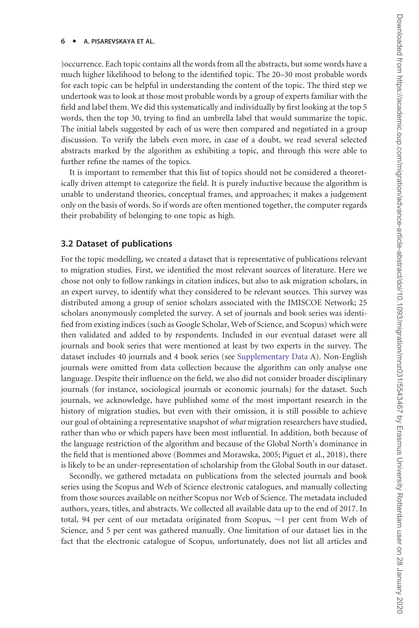#### 6 · A. PISAREVSKAYA ET AL.

)occurrence. Each topic contains all the words from all the abstracts, but some words have a much higher likelihood to belong to the identified topic. The 20–30 most probable words for each topic can be helpful in understanding the content of the topic. The third step we undertook was to look at those most probable words by a group of experts familiar with the field and label them. We did this systematically and individually by first looking at the top 5 words, then the top 30, trying to find an umbrella label that would summarize the topic. The initial labels suggested by each of us were then compared and negotiated in a group discussion. To verify the labels even more, in case of a doubt, we read several selected abstracts marked by the algorithm as exhibiting a topic, and through this were able to further refine the names of the topics.

It is important to remember that this list of topics should not be considered a theoretically driven attempt to categorize the field. It is purely inductive because the algorithm is unable to understand theories, conceptual frames, and approaches; it makes a judgement only on the basis of words. So if words are often mentioned together, the computer regards their probability of belonging to one topic as high.

### 3.2 Dataset of publications

For the topic modelling, we created a dataset that is representative of publications relevant to migration studies. First, we identified the most relevant sources of literature. Here we chose not only to follow rankings in citation indices, but also to ask migration scholars, in an expert survey, to identify what they considered to be relevant sources. This survey was distributed among a group of senior scholars associated with the IMISCOE Network; 25 scholars anonymously completed the survey. A set of journals and book series was identified from existing indices (such as Google Scholar, Web of Science, and Scopus) which were then validated and added to by respondents. Included in our eventual dataset were all journals and book series that were mentioned at least by two experts in the survey. The dataset includes 40 journals and 4 book series (see [Supplementary Data](https://academic.oup.com/migration/article-lookup/doi/10.1093/migration/mnz031#supplementary-data) A). Non-English journals were omitted from data collection because the algorithm can only analyse one language. Despite their influence on the field, we also did not consider broader disciplinary journals (for instance, sociological journals or economic journals) for the dataset. Such journals, we acknowledge, have published some of the most important research in the history of migration studies, but even with their omission, it is still possible to achieve our goal of obtaining a representative snapshot of what migration researchers have studied, rather than who or which papers have been most influential. In addition, both because of the language restriction of the algorithm and because of the Global North's dominance in the field that is mentioned above [\(Bommes and Morawska, 2005](#page-24-0); [Piguet et al., 2018](#page-26-0)), there is likely to be an under-representation of scholarship from the Global South in our dataset.

Secondly, we gathered metadata on publications from the selected journals and book series using the Scopus and Web of Science electronic catalogues, and manually collecting from those sources available on neither Scopus nor Web of Science. The metadata included authors, years, titles, and abstracts. We collected all available data up to the end of 2017. In total, 94 per cent of our metadata originated from Scopus,  $\sim$ 1 per cent from Web of Science, and 5 per cent was gathered manually. One limitation of our dataset lies in the fact that the electronic catalogue of Scopus, unfortunately, does not list all articles and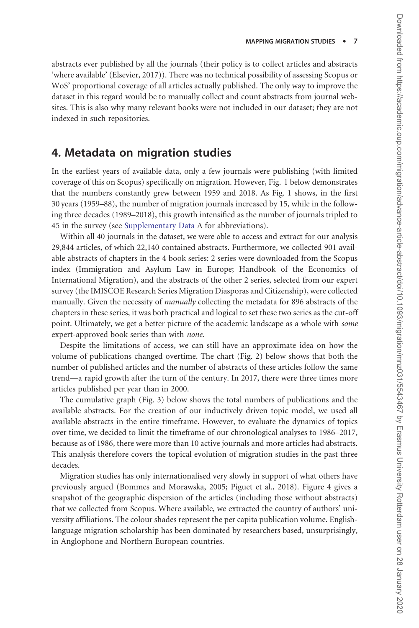abstracts ever published by all the journals (their policy is to collect articles and abstracts 'where available' ([Elsevier, 2017](#page-24-0))). There was no technical possibility of assessing Scopus or WoS' proportional coverage of all articles actually published. The only way to improve the dataset in this regard would be to manually collect and count abstracts from journal websites. This is also why many relevant books were not included in our dataset; they are not indexed in such repositories.

### 4. Metadata on migration studies

In the earliest years of available data, only a few journals were publishing (with limited coverage of this on Scopus) specifically on migration. However, [Fig. 1](#page-7-0) below demonstrates that the numbers constantly grew between 1959 and 2018. As [Fig. 1](#page-7-0) shows, in the first 30 years (1959–88), the number of migration journals increased by 15, while in the following three decades (1989–2018), this growth intensified as the number of journals tripled to 45 in the survey (see [Supplementary Data](https://academic.oup.com/migration/article-lookup/doi/10.1093/migration/mnz031#supplementary-data) A for abbreviations).

Within all 40 journals in the dataset, we were able to access and extract for our analysis 29,844 articles, of which 22,140 contained abstracts. Furthermore, we collected 901 available abstracts of chapters in the 4 book series: 2 series were downloaded from the Scopus index (Immigration and Asylum Law in Europe; Handbook of the Economics of International Migration), and the abstracts of the other 2 series, selected from our expert survey (the IMISCOE Research Series Migration Diasporas and Citizenship), were collected manually. Given the necessity of manually collecting the metadata for 896 abstracts of the chapters in these series, it was both practical and logical to set these two series as the cut-off point. Ultimately, we get a better picture of the academic landscape as a whole with *some* expert-approved book series than with none.

Despite the limitations of access, we can still have an approximate idea on how the volume of publications changed overtime. The chart ([Fig. 2](#page-8-0)) below shows that both the number of published articles and the number of abstracts of these articles follow the same trend—a rapid growth after the turn of the century. In 2017, there were three times more articles published per year than in 2000.

The cumulative graph ([Fig. 3](#page-8-0)) below shows the total numbers of publications and the available abstracts. For the creation of our inductively driven topic model, we used all available abstracts in the entire timeframe. However, to evaluate the dynamics of topics over time, we decided to limit the timeframe of our chronological analyses to 1986–2017, because as of 1986, there were more than 10 active journals and more articles had abstracts. This analysis therefore covers the topical evolution of migration studies in the past three decades.

Migration studies has only internationalised very slowly in support of what others have previously argued [\(Bommes and Morawska, 2005](#page-24-0); [Piguet et al., 2018\)](#page-26-0). [Figure 4](#page-9-0) gives a snapshot of the geographic dispersion of the articles (including those without abstracts) that we collected from Scopus. Where available, we extracted the country of authors' university affiliations. The colour shades represent the per capita publication volume. Englishlanguage migration scholarship has been dominated by researchers based, unsurprisingly, in Anglophone and Northern European countries.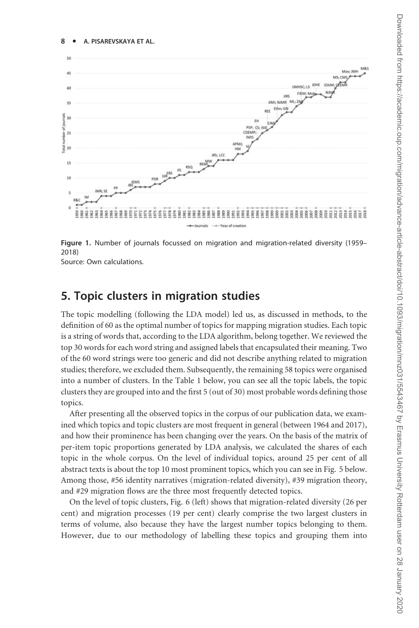<span id="page-7-0"></span>

Figure 1. Number of journals focussed on migration and migration-related diversity (1959– 2018) Source: Own calculations.

# 5. Topic clusters in migration studies

The topic modelling (following the LDA model) led us, as discussed in methods, to the definition of 60 as the optimal number of topics for mapping migration studies. Each topic is a string of words that, according to the LDA algorithm, belong together. We reviewed the top 30 words for each word string and assigned labels that encapsulated their meaning. Two of the 60 word strings were too generic and did not describe anything related to migration studies; therefore, we excluded them. Subsequently, the remaining 58 topics were organised into a number of clusters. In the [Table 1](#page-13-0) below, you can see all the topic labels, the topic clusters they are grouped into and the first 5 (out of 30) most probable words defining those topics.

After presenting all the observed topics in the corpus of our publication data, we examined which topics and topic clusters are most frequent in general (between 1964 and 2017), and how their prominence has been changing over the years. On the basis of the matrix of per-item topic proportions generated by LDA analysis, we calculated the shares of each topic in the whole corpus. On the level of individual topics, around 25 per cent of all abstract texts is about the top 10 most prominent topics, which you can see in [Fig. 5](#page-9-0) below. Among those, #56 identity narratives (migration-related diversity), #39 migration theory, and #29 migration flows are the three most frequently detected topics.

On the level of topic clusters, [Fig. 6](#page-10-0) (left) shows that migration-related diversity (26 per cent) and migration processes (19 per cent) clearly comprise the two largest clusters in terms of volume, also because they have the largest number topics belonging to them. However, due to our methodology of labelling these topics and grouping them into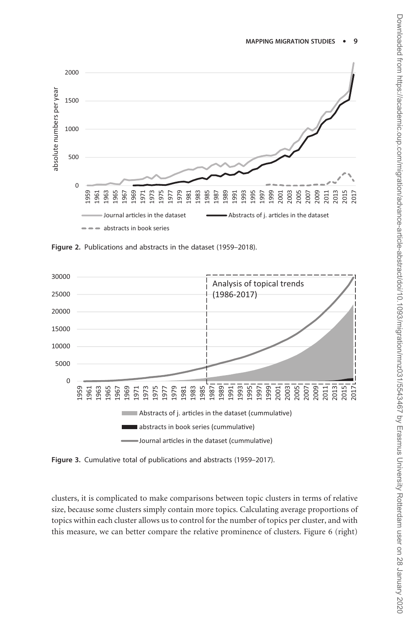#### MAPPING MIGRATION STUDIES . 9

<span id="page-8-0"></span>

Figure 2. Publications and abstracts in the dataset (1959–2018).



Figure 3. Cumulative total of publications and abstracts (1959–2017).

clusters, it is complicated to make comparisons between topic clusters in terms of relative size, because some clusters simply contain more topics. Calculating average proportions of topics within each cluster allows us to control for the number of topics per cluster, and with this measure, we can better compare the relative prominence of clusters. [Figure 6](#page-10-0) (right)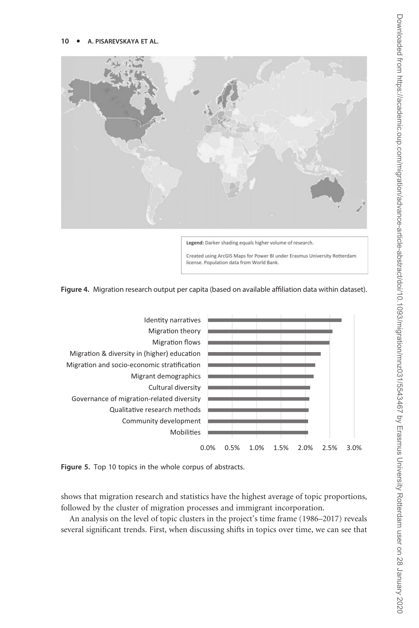<span id="page-9-0"></span>

Legend: Darker shading equals higher volume of research.

Created using ArcGIS Maps for Power BI under Erasmus University Rotterdam license. Population data from World Bank.





Figure 5. Top 10 topics in the whole corpus of abstracts.

shows that migration research and statistics have the highest average of topic proportions, followed by the cluster of migration processes and immigrant incorporation.

An analysis on the level of topic clusters in the project's time frame (1986–2017) reveals several significant trends. First, when discussing shifts in topics over time, we can see that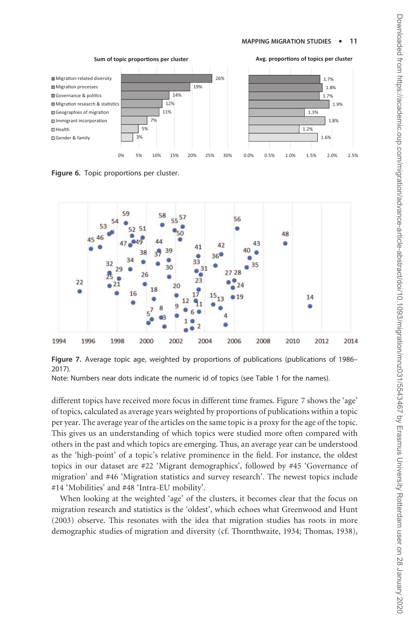#### MAPPING MIGRATION STUDIES . 11

<span id="page-10-0"></span>

Figure 6. Topic proportions per cluster.



Figure 7. Average topic age, weighted by proportions of publications (publications of 1986– 2017).

Note: Numbers near dots indicate the numeric id of topics (see [Table 1](#page-13-0) for the names).

different topics have received more focus in different time frames. Figure 7 shows the 'age' of topics, calculated as average years weighted by proportions of publications within a topic per year. The average year of the articles on the same topic is a proxy for the age of the topic. This gives us an understanding of which topics were studied more often compared with others in the past and which topics are emerging. Thus, an average year can be understood as the 'high-point' of a topic's relative prominence in the field. For instance, the oldest topics in our dataset are #22 'Migrant demographics', followed by #45 'Governance of migration' and #46 'Migration statistics and survey research'. The newest topics include #14 'Mobilities' and #48 'Intra-EU mobility'.

When looking at the weighted 'age' of the clusters, it becomes clear that the focus on migration research and statistics is the 'oldest', which echoes what [Greenwood and Hunt](#page-25-0) [\(2003\)](#page-25-0) observe. This resonates with the idea that migration studies has roots in more demographic studies of migration and diversity (cf. [Thornthwaite, 1934](#page-26-0); [Thomas, 1938](#page-26-0)),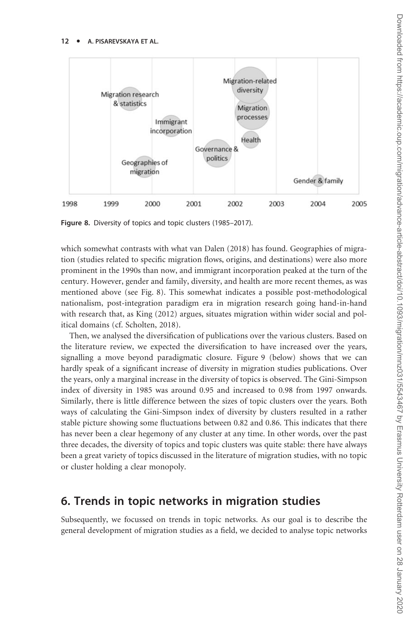

Figure 8. Diversity of topics and topic clusters (1985–2017).

which somewhat contrasts with what [van Dalen \(2018\)](#page-26-0) has found. Geographies of migration (studies related to specific migration flows, origins, and destinations) were also more prominent in the 1990s than now, and immigrant incorporation peaked at the turn of the century. However, gender and family, diversity, and health are more recent themes, as was mentioned above (see Fig. 8). This somewhat indicates a possible post-methodological nationalism, post-integration paradigm era in migration research going hand-in-hand with research that, as [King \(2012\)](#page-25-0) argues, situates migration within wider social and political domains (cf. [Scholten, 2018](#page-26-0)).

Then, we analysed the diversification of publications over the various clusters. Based on the literature review, we expected the diversification to have increased over the years, signalling a move beyond paradigmatic closure. [Figure 9](#page-12-0) (below) shows that we can hardly speak of a significant increase of diversity in migration studies publications. Over the years, only a marginal increase in the diversity of topics is observed. The Gini-Simpson index of diversity in 1985 was around 0.95 and increased to 0.98 from 1997 onwards. Similarly, there is little difference between the sizes of topic clusters over the years. Both ways of calculating the Gini-Simpson index of diversity by clusters resulted in a rather stable picture showing some fluctuations between 0.82 and 0.86. This indicates that there has never been a clear hegemony of any cluster at any time. In other words, over the past three decades, the diversity of topics and topic clusters was quite stable: there have always been a great variety of topics discussed in the literature of migration studies, with no topic or cluster holding a clear monopoly.

# 6. Trends in topic networks in migration studies

Subsequently, we focussed on trends in topic networks. As our goal is to describe the general development of migration studies as a field, we decided to analyse topic networks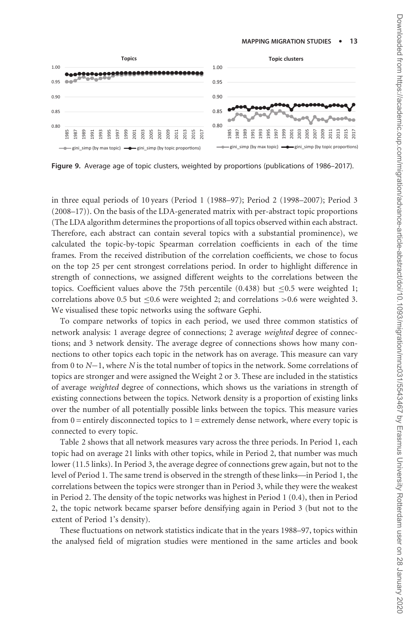#### MAPPING MIGRATION STUDIES . 13

<span id="page-12-0"></span>

Figure 9. Average age of topic clusters, weighted by proportions (publications of 1986–2017).

in three equal periods of 10 years (Period 1 (1988–97); Period 2 (1998–2007); Period 3 (2008–17)). On the basis of the LDA-generated matrix with per-abstract topic proportions (The LDA algorithm determines the proportions of all topics observed within each abstract. Therefore, each abstract can contain several topics with a substantial prominence), we calculated the topic-by-topic Spearman correlation coefficients in each of the time frames. From the received distribution of the correlation coefficients, we chose to focus on the top 25 per cent strongest correlations period. In order to highlight difference in strength of connections, we assigned different weights to the correlations between the topics. Coefficient values above the 75th percentile (0.438) but  $\leq$  0.5 were weighted 1; correlations above 0.5 but  $\leq 0.6$  were weighted 2; and correlations  $> 0.6$  were weighted 3. We visualised these topic networks using the software Gephi.

To compare networks of topics in each period, we used three common statistics of network analysis: 1 average degree of connections; 2 average weighted degree of connections; and 3 network density. The average degree of connections shows how many connections to other topics each topic in the network has on average. This measure can vary from 0 to  $N-1$ , where N is the total number of topics in the network. Some correlations of topics are stronger and were assigned the Weight 2 or 3. These are included in the statistics of average weighted degree of connections, which shows us the variations in strength of existing connections between the topics. Network density is a proportion of existing links over the number of all potentially possible links between the topics. This measure varies from  $0 =$  entirely disconnected topics to  $1 =$  extremely dense network, where every topic is connected to every topic.

[Table 2](#page-16-0) shows that all network measures vary across the three periods. In Period 1, each topic had on average 21 links with other topics, while in Period 2, that number was much lower (11.5 links). In Period 3, the average degree of connections grew again, but not to the level of Period 1. The same trend is observed in the strength of these links—in Period 1, the correlations between the topics were stronger than in Period 3, while they were the weakest in Period 2. The density of the topic networks was highest in Period 1 (0.4), then in Period 2, the topic network became sparser before densifying again in Period 3 (but not to the extent of Period 1's density).

These fluctuations on network statistics indicate that in the years 1988–97, topics within the analysed field of migration studies were mentioned in the same articles and book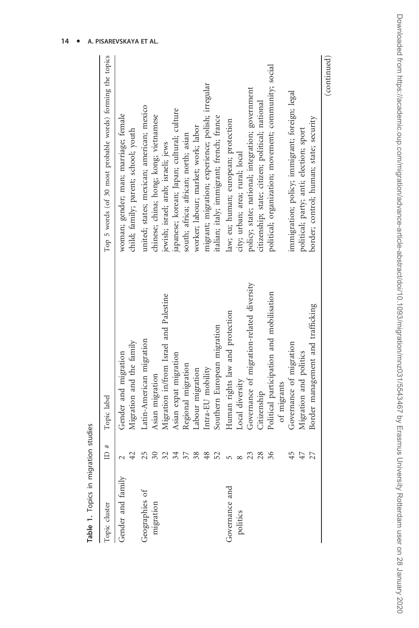<span id="page-13-0"></span>

| Topic cluster               | iD#      | Topic label                                                                                                                                                                                                                                                         | Top 5 words (of 30 most probable words) forming the topics                                                                                                                                                                                                                                                                                                                      |
|-----------------------------|----------|---------------------------------------------------------------------------------------------------------------------------------------------------------------------------------------------------------------------------------------------------------------------|---------------------------------------------------------------------------------------------------------------------------------------------------------------------------------------------------------------------------------------------------------------------------------------------------------------------------------------------------------------------------------|
| Gender and family           |          | Migration and the family<br>Gender and migration                                                                                                                                                                                                                    | woman; gender; man; marriage; female<br>child; family; parent; school; youth                                                                                                                                                                                                                                                                                                    |
| Geographies of<br>migration |          | Latin-American migration<br>Asian migration                                                                                                                                                                                                                         | united; states; mexican; american; mexico<br>chinese; china; hong; kong; vietnamese                                                                                                                                                                                                                                                                                             |
|                             | 34       | Migration in/from Israel and Palestine<br>Asian expat migration<br>Regional migration                                                                                                                                                                               | japanese; korean; Japan; cultural; culture<br>south; africa; african; north; asian<br>jewish; israel; arab; israeli; jews                                                                                                                                                                                                                                                       |
|                             | 48<br>38 | Southern European migration<br>Intra-EU mobility<br>Labour migration                                                                                                                                                                                                | migrant; migration; experience; polish; irregular<br>italian; italy; immigrant; french; france<br>worker; labour; market; work; labor                                                                                                                                                                                                                                           |
| Governance and<br>politics  | 45<br>47 | Governance of migration-related diversity<br>Political participation and mobilisation<br>Border management and trafficking<br>Human rights law and protection<br>Governance of migration<br>Migration and politics<br>Local diversity<br>of migrants<br>Citizenship | political; organization; movement; community; social<br>policy; state; national; integration; government<br>immigration; policy; immigrant; foreign; legal<br>citizenship; state; citizen; political; national<br>border; control; human; state; security<br>law; eu; human; european; protection<br>political; party; anti; election; sport<br>city; urban; area; rural; local |
|                             |          |                                                                                                                                                                                                                                                                     | (continued)                                                                                                                                                                                                                                                                                                                                                                     |

Table 1. Topics in migration studies Table 1. Topics in migration studies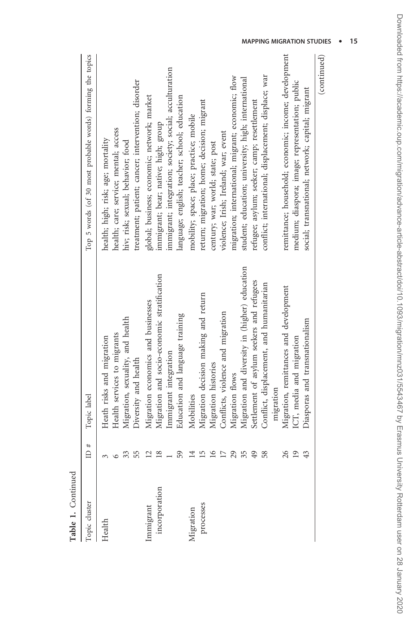| Topic cluster | $\mathbb{D}$ # | Topic label                                              | Top 5 words (of 30 most probable words) forming the topics                  |
|---------------|----------------|----------------------------------------------------------|-----------------------------------------------------------------------------|
| Health        |                | Health services to migrants<br>Heath risks and migration | health; care; service; mental; access<br>health; high; risk; age; mortality |
|               |                | Migration, sexuality, and health                         | hiv; risk; sexual; behavior; food                                           |
|               |                | Diversity and health                                     | treatment; patient; cancer; intervention; disorder                          |
| Immigrant     |                | Migration economics and businesses                       | global; business; economic; network; market                                 |
| incorporation |                | Migration and socio-economic stratification              | immigrant; bear; native; high; group                                        |
|               |                | inmigrant integration                                    | immigrant; integration; society; social; acculturation                      |
|               |                | Education and language training                          | language; english; teacher; school; education                               |
| Migration     |                | Mobilities                                               | mobility; space; place; practice; mobile                                    |
| processes     |                | Migration decision making and return                     | return; migration; home; decision; migrant                                  |
|               |                | Migration histories                                      | century; war; world; state; post                                            |
|               |                | Conflicts, violence and migration                        | violence; Irish; Ireland; war; event                                        |
|               |                | Migration flows                                          | migration; international; migrant; economic; flow                           |
|               | 35             | Migration and diversity in (higher) education            | student; education; university; high; international                         |
|               | ₽              | Settlement of asylum seekers and refugees                | refugee; asylum; seeker; camp; resettlement                                 |
|               | 58             | Conflict, displacement, and humanitarian                 | conflict; international; displacement; displace; war                        |
|               |                | migration                                                |                                                                             |
|               | 26             | Migration, remittances and development                   | remittance; household; economic; income; development                        |
|               | $\overline{9}$ | ICT, media and migration                                 | medium; diaspora; image; representation; public                             |
|               |                | Diasporas and transnationalism                           | social; transnational; network; capital; migrant                            |
|               |                |                                                          | (continued)                                                                 |

Table 1. Continued Table 1. Continued

Downloaded from https://academic.oup.com/migration/advance-article-abstract/doi/10.1093/migration/mnz031/5543467 by Erasmus University Rotterdam user on 28 January 2020 Downloaded from https://academic.oup.com/migration/advance-article-abstract/doi/10.1093/migration/mnz031/5543467 by Erasmus University Rotterdam user on 28 January 2020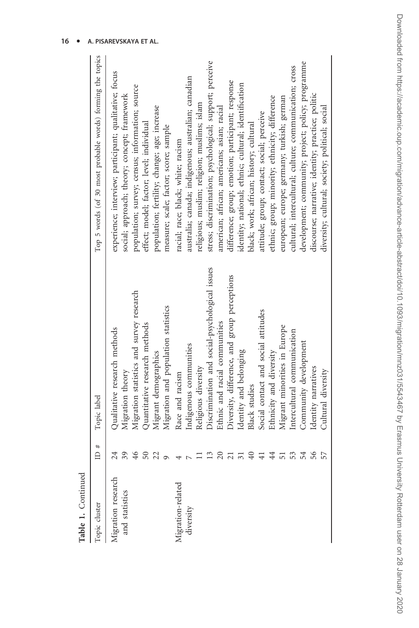| Topic cluster                        | $\overline{D}$ | Topic label                                                                                                                                                                                                                                                                                                                                                                                                                                                  | Top 5 words (of 30 most probable words) forming the topics                                                                                                                                                                                                                                                                                                                                                                                                                                                                                                                                                                                                                                                                                                                        |
|--------------------------------------|----------------|--------------------------------------------------------------------------------------------------------------------------------------------------------------------------------------------------------------------------------------------------------------------------------------------------------------------------------------------------------------------------------------------------------------------------------------------------------------|-----------------------------------------------------------------------------------------------------------------------------------------------------------------------------------------------------------------------------------------------------------------------------------------------------------------------------------------------------------------------------------------------------------------------------------------------------------------------------------------------------------------------------------------------------------------------------------------------------------------------------------------------------------------------------------------------------------------------------------------------------------------------------------|
| Migration research<br>and statistics | 24             | Migration statistics and survey research<br>Migration and population statistics<br>Quantitative research methods<br>Qualitative research methods<br>Migrant demographics<br>Migration theory                                                                                                                                                                                                                                                                 | experience; interview; participant; qualitative; focus<br>population; survey; census; information; source<br>social; approach; theory; concept; framework<br>population; fertility; change; age; increase<br>effect; model; factor; level; individual<br>measure; scale; factor; score; sample                                                                                                                                                                                                                                                                                                                                                                                                                                                                                    |
| Migration-related<br>diversity       |                | Discrimination and social-psychological issues<br>Diversity, difference, and group perceptions<br>Social contact and social attitudes<br>Ethnic and racial communities<br>Migrant minorities in Europe<br>Intercultural communication<br>Community development<br>Indigenous communities<br>Identity and belonging<br>Ethnicity and diversity<br>Religious diversity<br>Identity narratives<br>Cultural diversity<br>Race and racism<br><b>Black</b> studies | stress; discrimination; psychological; support; perceive<br>development; community; project; policy; programme<br>cultural; intercultural; culture; communication; cross<br>australia; canada; indigenous; australian; canadian<br>difference; group; emotion; participant; response<br>identity; national; ethnic; cultural; identification<br>discourse; narrative; identity; practice; politic<br>ethnic; group; minority; ethnicity; difference<br>european; europe; germany; turkish; german<br>religious; muslim; religion; muslims; islam<br>diversity; cultural; society; political; social<br>american; african; americans; asian; racial<br>attitude; group; contact; social; perceive<br>black; work; african; history; cultural<br>racial; race; black; white; racism |
|                                      |                |                                                                                                                                                                                                                                                                                                                                                                                                                                                              |                                                                                                                                                                                                                                                                                                                                                                                                                                                                                                                                                                                                                                                                                                                                                                                   |

Table 1. Continued Table 1. Continued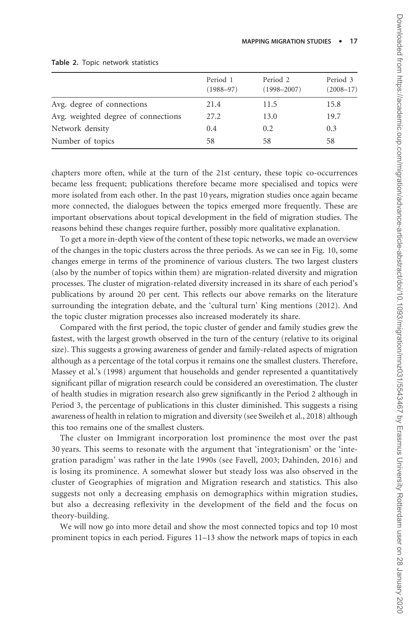|                                     | Period 1<br>$(1988 - 97)$ | Period 2<br>$(1998 - 2007)$ | Period 3<br>$(2008 - 17)$ |
|-------------------------------------|---------------------------|-----------------------------|---------------------------|
| Avg. degree of connections          | 21.4                      | 11.5                        | 15.8                      |
| Avg. weighted degree of connections | 27.2                      | 13.0                        | 19.7                      |
| Network density                     | 0.4                       | 0.2                         | 0.3                       |
| Number of topics                    | 58                        | 58                          | 58                        |
|                                     |                           |                             |                           |

<span id="page-16-0"></span>Table 2. Topic network statistics

chapters more often, while at the turn of the 21st century, these topic co-occurrences became less frequent; publications therefore became more specialised and topics were more isolated from each other. In the past 10 years, migration studies once again became more connected, the dialogues between the topics emerged more frequently. These are important observations about topical development in the field of migration studies. The reasons behind these changes require further, possibly more qualitative explanation.

To get a more in-depth view of the content of these topic networks, we made an overview of the changes in the topic clusters across the three periods. As we can see in [Fig. 10,](#page-17-0) some changes emerge in terms of the prominence of various clusters. The two largest clusters (also by the number of topics within them) are migration-related diversity and migration processes. The cluster of migration-related diversity increased in its share of each period's publications by around 20 per cent. This reflects our above remarks on the literature surrounding the integration debate, and the 'cultural turn' King mentions (2012). And the topic cluster migration processes also increased moderately its share.

Compared with the first period, the topic cluster of gender and family studies grew the fastest, with the largest growth observed in the turn of the century (relative to its original size). This suggests a growing awareness of gender and family-related aspects of migration although as a percentage of the total corpus it remains one the smallest clusters. Therefore, [Massey et al.'s \(1998\)](#page-25-0) argument that households and gender represented a quantitatively significant pillar of migration research could be considered an overestimation. The cluster of health studies in migration research also grew significantly in the Period 2 although in Period 3, the percentage of publications in this cluster diminished. This suggests a rising awareness of health in relation to migration and diversity (see [Sweileh et al., 2018\)](#page-26-0) although this too remains one of the smallest clusters.

The cluster on Immigrant incorporation lost prominence the most over the past 30 years. This seems to resonate with the argument that 'integrationism' or the 'integration paradigm' was rather in the late 1990s (see [Favell, 2003](#page-24-0); [Dahinden, 2016\)](#page-24-0) and is losing its prominence. A somewhat slower but steady loss was also observed in the cluster of Geographies of migration and Migration research and statistics. This also suggests not only a decreasing emphasis on demographics within migration studies, but also a decreasing reflexivity in the development of the field and the focus on theory-building.

We will now go into more detail and show the most connected topics and top 10 most prominent topics in each period. [Figures 11–13](#page-18-0) show the network maps of topics in each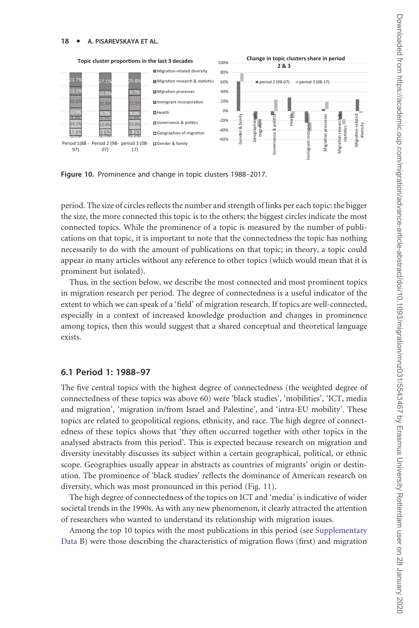#### <span id="page-17-0"></span>18 · A. PISAREVSKAYA ET AL.



Figure 10. Prominence and change in topic clusters 1988–2017.

period. The size of circles reflects the number and strength of links per each topic: the bigger the size, the more connected this topic is to the others; the biggest circles indicate the most connected topics. While the prominence of a topic is measured by the number of publications on that topic, it is important to note that the connectedness the topic has nothing necessarily to do with the amount of publications on that topic; in theory, a topic could appear in many articles without any reference to other topics (which would mean that it is prominent but isolated).

Thus, in the section below, we describe the most connected and most prominent topics in migration research per period. The degree of connectedness is a useful indicator of the extent to which we can speak of a 'field' of migration research. If topics are well-connected, especially in a context of increased knowledge production and changes in prominence among topics, then this would suggest that a shared conceptual and theoretical language exists.

### 6.1 Period 1: 1988–97

The five central topics with the highest degree of connectedness (the weighted degree of connectedness of these topics was above 60) were 'black studies', 'mobilities', 'ICT, media and migration', 'migration in/from Israel and Palestine', and 'intra-EU mobility'. These topics are related to geopolitical regions, ethnicity, and race. The high degree of connectedness of these topics shows that 'they often occurred together with other topics in the analysed abstracts from this period'. This is expected because research on migration and diversity inevitably discusses its subject within a certain geographical, political, or ethnic scope. Geographies usually appear in abstracts as countries of migrants' origin or destination. The prominence of 'black studies' reflects the dominance of American research on diversity, which was most pronounced in this period ([Fig. 11\)](#page-18-0).

The high degree of connectedness of the topics on ICT and 'media' is indicative of wider societal trends in the 1990s. As with any new phenomenon, it clearly attracted the attention of researchers who wanted to understand its relationship with migration issues.

Among the top 10 topics with the most publications in this period (see [Supplementary](https://academic.oup.com/migration/article-lookup/doi/10.1093/migration/mnz031#supplementary-data) [Data](https://academic.oup.com/migration/article-lookup/doi/10.1093/migration/mnz031#supplementary-data) B) were those describing the characteristics of migration flows (first) and migration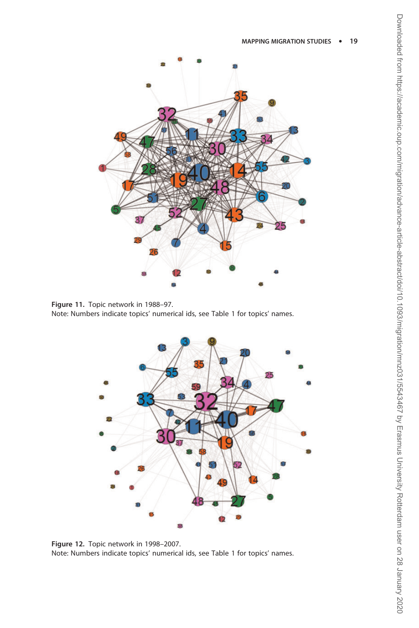#### MAPPING MIGRATION STUDIES . 19

<span id="page-18-0"></span>

Figure 11. Topic network in 1988–97. Note: Numbers indicate topics' numerical ids, see [Table 1](#page-13-0) for topics' names.



Figure 12. Topic network in 1998–2007. Note: Numbers indicate topics' numerical ids, see [Table 1](#page-13-0) for topics' names.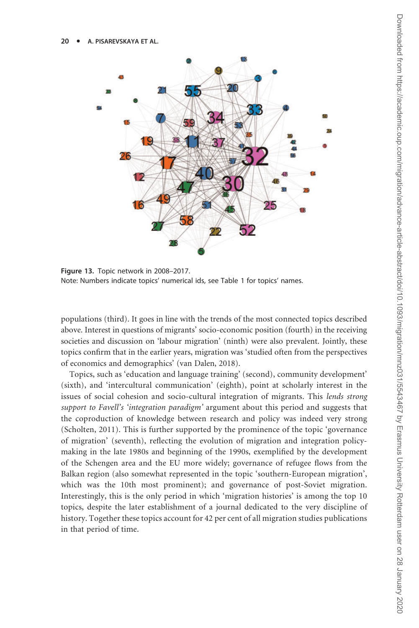<span id="page-19-0"></span>

Figure 13. Topic network in 2008–2017. Note: Numbers indicate topics' numerical ids, see [Table 1](#page-13-0) for topics' names.

populations (third). It goes in line with the trends of the most connected topics described above. Interest in questions of migrants' socio-economic position (fourth) in the receiving societies and discussion on 'labour migration' (ninth) were also prevalent. Jointly, these topics confirm that in the earlier years, migration was 'studied often from the perspectives of economics and demographics' ([van Dalen, 2018](#page-26-0)).

Topics, such as 'education and language training' (second), community development' (sixth), and 'intercultural communication' (eighth), point at scholarly interest in the issues of social cohesion and socio-cultural integration of migrants. This lends strong support to Favell's 'integration paradigm' argument about this period and suggests that the coproduction of knowledge between research and policy was indeed very strong ([Scholten, 2011\)](#page-26-0). This is further supported by the prominence of the topic 'governance of migration' (seventh), reflecting the evolution of migration and integration policymaking in the late 1980s and beginning of the 1990s, exemplified by the development of the Schengen area and the EU more widely; governance of refugee flows from the Balkan region (also somewhat represented in the topic 'southern-European migration', which was the 10th most prominent); and governance of post-Soviet migration. Interestingly, this is the only period in which 'migration histories' is among the top 10 topics, despite the later establishment of a journal dedicated to the very discipline of history. Together these topics account for 42 per cent of all migration studies publications in that period of time.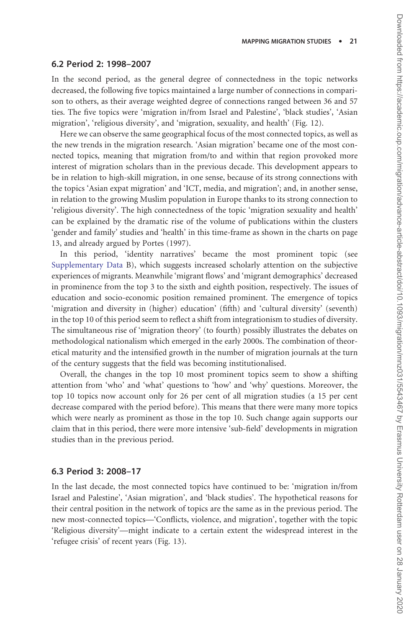### 6.2 Period 2: 1998–2007

In the second period, as the general degree of connectedness in the topic networks decreased, the following five topics maintained a large number of connections in comparison to others, as their average weighted degree of connections ranged between 36 and 57 ties. The five topics were 'migration in/from Israel and Palestine', 'black studies', 'Asian migration', 'religious diversity', and 'migration, sexuality, and health' ([Fig. 12\)](#page-18-0).

Here we can observe the same geographical focus of the most connected topics, as well as the new trends in the migration research. 'Asian migration' became one of the most connected topics, meaning that migration from/to and within that region provoked more interest of migration scholars than in the previous decade. This development appears to be in relation to high-skill migration, in one sense, because of its strong connections with the topics 'Asian expat migration' and 'ICT, media, and migration'; and, in another sense, in relation to the growing Muslim population in Europe thanks to its strong connection to 'religious diversity'. The high connectedness of the topic 'migration sexuality and health' can be explained by the dramatic rise of the volume of publications within the clusters 'gender and family' studies and 'health' in this time-frame as shown in the charts on page 13, and already argued by [Portes \(1997\).](#page-26-0)

In this period, 'identity narratives' became the most prominent topic (see [Supplementary Data](https://academic.oup.com/migration/article-lookup/doi/10.1093/migration/mnz031#supplementary-data) B), which suggests increased scholarly attention on the subjective experiences of migrants. Meanwhile 'migrant flows' and 'migrant demographics' decreased in prominence from the top 3 to the sixth and eighth position, respectively. The issues of education and socio-economic position remained prominent. The emergence of topics 'migration and diversity in (higher) education' (fifth) and 'cultural diversity' (seventh) in the top 10 of this period seem to reflect a shift from integrationism to studies of diversity. The simultaneous rise of 'migration theory' (to fourth) possibly illustrates the debates on methodological nationalism which emerged in the early 2000s. The combination of theoretical maturity and the intensified growth in the number of migration journals at the turn of the century suggests that the field was becoming institutionalised.

Overall, the changes in the top 10 most prominent topics seem to show a shifting attention from 'who' and 'what' questions to 'how' and 'why' questions. Moreover, the top 10 topics now account only for 26 per cent of all migration studies (a 15 per cent decrease compared with the period before). This means that there were many more topics which were nearly as prominent as those in the top 10. Such change again supports our claim that in this period, there were more intensive 'sub-field' developments in migration studies than in the previous period.

### 6.3 Period 3: 2008–17

In the last decade, the most connected topics have continued to be: 'migration in/from Israel and Palestine', 'Asian migration', and 'black studies'. The hypothetical reasons for their central position in the network of topics are the same as in the previous period. The new most-connected topics—'Conflicts, violence, and migration', together with the topic 'Religious diversity'—might indicate to a certain extent the widespread interest in the 'refugee crisis' of recent years ([Fig. 13](#page-19-0)).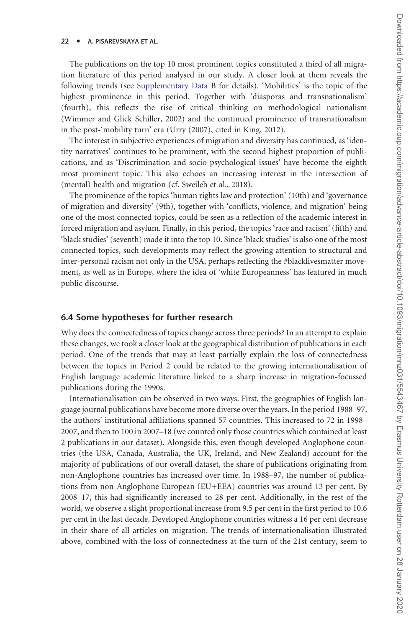#### 22 · A. PISAREVSKAYA ET AL.

The publications on the top 10 most prominent topics constituted a third of all migration literature of this period analysed in our study. A closer look at them reveals the following trends (see [Supplementary Data](https://academic.oup.com/migration/article-lookup/doi/10.1093/migration/mnz031#supplementary-data) B for details). 'Mobilities' is the topic of the highest prominence in this period. Together with 'diasporas and transnationalism' (fourth), this reflects the rise of critical thinking on methodological nationalism ([Wimmer and Glick Schiller, 2002](#page-26-0)) and the continued prominence of transnationalism in the post-'mobility turn' era [\(Urry \(2007\),](#page-26-0) cited in [King, 2012](#page-25-0)).

The interest in subjective experiences of migration and diversity has continued, as 'identity narratives' continues to be prominent, with the second highest proportion of publications, and as 'Discrimination and socio-psychological issues' have become the eighth most prominent topic. This also echoes an increasing interest in the intersection of (mental) health and migration (cf. [Sweileh et al., 2018\)](#page-26-0).

The prominence of the topics 'human rights law and protection' (10th) and 'governance of migration and diversity' (9th), together with 'conflicts, violence, and migration' being one of the most connected topics, could be seen as a reflection of the academic interest in forced migration and asylum. Finally, in this period, the topics 'race and racism' (fifth) and 'black studies' (seventh) made it into the top 10. Since 'black studies' is also one of the most connected topics, such developments may reflect the growing attention to structural and inter-personal racism not only in the USA, perhaps reflecting the #blacklivesmatter movement, as well as in Europe, where the idea of 'white Europeanness' has featured in much public discourse.

#### 6.4 Some hypotheses for further research

Why does the connectedness of topics change across three periods? In an attempt to explain these changes, we took a closer look at the geographical distribution of publications in each period. One of the trends that may at least partially explain the loss of connectedness between the topics in Period 2 could be related to the growing internationalisation of English language academic literature linked to a sharp increase in migration-focussed publications during the 1990s.

Internationalisation can be observed in two ways. First, the geographies of English language journal publications have become more diverse over the years. In the period 1988–97, the authors' institutional affiliations spanned 57 countries. This increased to 72 in 1998– 2007, and then to 100 in 2007–18 (we counted only those countries which contained at least 2 publications in our dataset). Alongside this, even though developed Anglophone countries (the USA, Canada, Australia, the UK, Ireland, and New Zealand) account for the majority of publications of our overall dataset, the share of publications originating from non-Anglophone countries has increased over time. In 1988–97, the number of publications from non-Anglophone European (EU+EEA) countries was around 13 per cent. By 2008–17, this had significantly increased to 28 per cent. Additionally, in the rest of the world, we observe a slight proportional increase from 9.5 per cent in the first period to 10.6 per cent in the last decade. Developed Anglophone countries witness a 16 per cent decrease in their share of all articles on migration. The trends of internationalisation illustrated above, combined with the loss of connectedness at the turn of the 21st century, seem to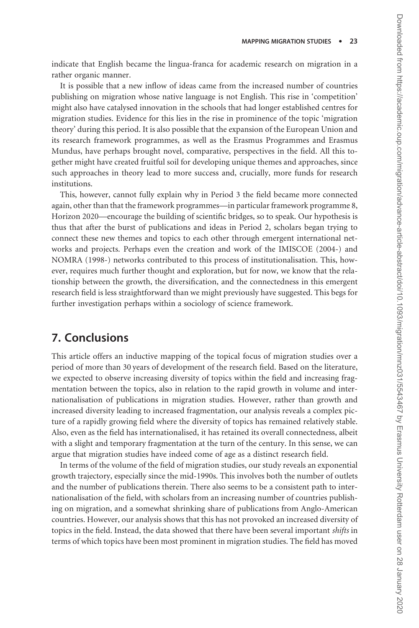indicate that English became the lingua-franca for academic research on migration in a rather organic manner.

It is possible that a new inflow of ideas came from the increased number of countries publishing on migration whose native language is not English. This rise in 'competition' might also have catalysed innovation in the schools that had longer established centres for migration studies. Evidence for this lies in the rise in prominence of the topic 'migration theory' during this period. It is also possible that the expansion of the European Union and its research framework programmes, as well as the Erasmus Programmes and Erasmus Mundus, have perhaps brought novel, comparative, perspectives in the field. All this together might have created fruitful soil for developing unique themes and approaches, since such approaches in theory lead to more success and, crucially, more funds for research institutions.

This, however, cannot fully explain why in Period 3 the field became more connected again, other than that the framework programmes—in particular framework programme 8, Horizon 2020—encourage the building of scientific bridges, so to speak. Our hypothesis is thus that after the burst of publications and ideas in Period 2, scholars began trying to connect these new themes and topics to each other through emergent international networks and projects. Perhaps even the creation and work of the IMISCOE (2004-) and NOMRA (1998-) networks contributed to this process of institutionalisation. This, however, requires much further thought and exploration, but for now, we know that the relationship between the growth, the diversification, and the connectedness in this emergent research field is less straightforward than we might previously have suggested. This begs for further investigation perhaps within a sociology of science framework.

# 7. Conclusions

This article offers an inductive mapping of the topical focus of migration studies over a period of more than 30 years of development of the research field. Based on the literature, we expected to observe increasing diversity of topics within the field and increasing fragmentation between the topics, also in relation to the rapid growth in volume and internationalisation of publications in migration studies. However, rather than growth and increased diversity leading to increased fragmentation, our analysis reveals a complex picture of a rapidly growing field where the diversity of topics has remained relatively stable. Also, even as the field has internationalised, it has retained its overall connectedness, albeit with a slight and temporary fragmentation at the turn of the century. In this sense, we can argue that migration studies have indeed come of age as a distinct research field.

In terms of the volume of the field of migration studies, our study reveals an exponential growth trajectory, especially since the mid-1990s. This involves both the number of outlets and the number of publications therein. There also seems to be a consistent path to internationalisation of the field, with scholars from an increasing number of countries publishing on migration, and a somewhat shrinking share of publications from Anglo-American countries. However, our analysis shows that this has not provoked an increased diversity of topics in the field. Instead, the data showed that there have been several important *shifts* in terms of which topics have been most prominent in migration studies. The field has moved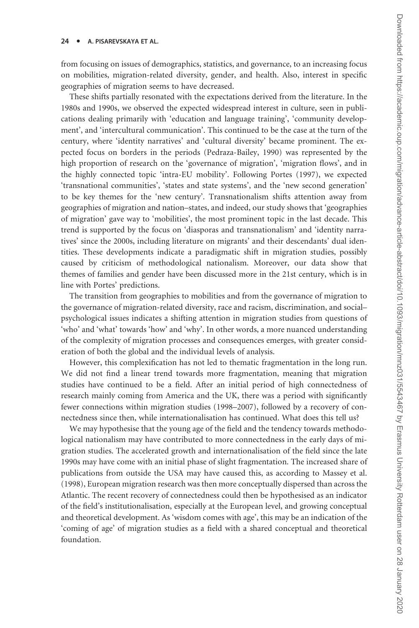from focusing on issues of demographics, statistics, and governance, to an increasing focus on mobilities, migration-related diversity, gender, and health. Also, interest in specific geographies of migration seems to have decreased.

These shifts partially resonated with the expectations derived from the literature. In the 1980s and 1990s, we observed the expected widespread interest in culture, seen in publications dealing primarily with 'education and language training', 'community development', and 'intercultural communication'. This continued to be the case at the turn of the century, where 'identity narratives' and 'cultural diversity' became prominent. The expected focus on borders in the periods ([Pedraza-Bailey, 1990\)](#page-25-0) was represented by the high proportion of research on the 'governance of migration', 'migration flows', and in the highly connected topic 'intra-EU mobility'. Following [Portes \(1997\)](#page-26-0), we expected 'transnational communities', 'states and state systems', and the 'new second generation' to be key themes for the 'new century'. Transnationalism shifts attention away from geographies of migration and nation–states, and indeed, our study shows that 'geographies of migration' gave way to 'mobilities', the most prominent topic in the last decade. This trend is supported by the focus on 'diasporas and transnationalism' and 'identity narratives' since the 2000s, including literature on migrants' and their descendants' dual identities. These developments indicate a paradigmatic shift in migration studies, possibly caused by criticism of methodological nationalism. Moreover, our data show that themes of families and gender have been discussed more in the 21st century, which is in line with Portes' predictions.

The transition from geographies to mobilities and from the governance of migration to the governance of migration-related diversity, race and racism, discrimination, and social– psychological issues indicates a shifting attention in migration studies from questions of 'who' and 'what' towards 'how' and 'why'. In other words, a more nuanced understanding of the complexity of migration processes and consequences emerges, with greater consideration of both the global and the individual levels of analysis.

However, this complexification has not led to thematic fragmentation in the long run. We did not find a linear trend towards more fragmentation, meaning that migration studies have continued to be a field. After an initial period of high connectedness of research mainly coming from America and the UK, there was a period with significantly fewer connections within migration studies (1998–2007), followed by a recovery of connectedness since then, while internationalisation has continued. What does this tell us?

We may hypothesise that the young age of the field and the tendency towards methodological nationalism may have contributed to more connectedness in the early days of migration studies. The accelerated growth and internationalisation of the field since the late 1990s may have come with an initial phase of slight fragmentation. The increased share of publications from outside the USA may have caused this, as according to [Massey et al.](#page-25-0) [\(1998\)](#page-25-0), European migration research was then more conceptually dispersed than across the Atlantic. The recent recovery of connectedness could then be hypothesised as an indicator of the field's institutionalisation, especially at the European level, and growing conceptual and theoretical development. As 'wisdom comes with age', this may be an indication of the 'coming of age' of migration studies as a field with a shared conceptual and theoretical foundation.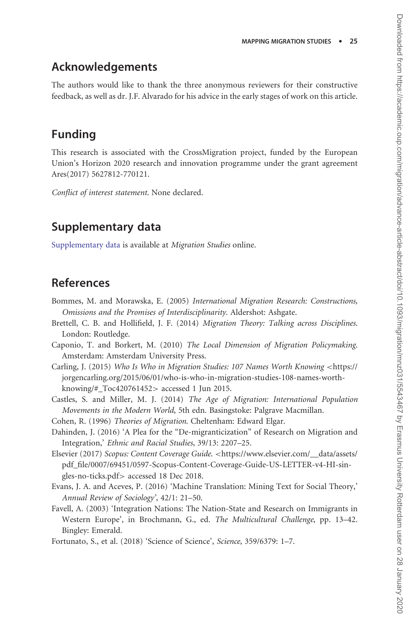## <span id="page-24-0"></span>Acknowledgements

The authors would like to thank the three anonymous reviewers for their constructive feedback, as well as dr. J.F. Alvarado for his advice in the early stages of work on this article.

# Funding

This research is associated with the CrossMigration project, funded by the European Union's Horizon 2020 research and innovation programme under the grant agreement Ares(2017) 5627812-770121.

Conflict of interest statement. None declared.

# Supplementary data

[Supplementary data](https://academic.oup.com/migration/article-lookup/doi/10.1093/migration/mnz031#supplementary-data) is available at Migration Studies online.

### References

- Bommes, M. and Morawska, E. (2005) International Migration Research: Constructions, Omissions and the Promises of Interdisciplinarity. Aldershot: Ashgate.
- Brettell, C. B. and Hollifield, J. F. (2014) Migration Theory: Talking across Disciplines. London: Routledge.
- Caponio, T. and Borkert, M. (2010) The Local Dimension of Migration Policymaking. Amsterdam: Amsterdam University Press.
- Carling, J. (2015) Who Is Who in Migration Studies: 107 Names Worth Knowing <[https://](https://jorgencarling.org/2015/06/01/who-is-who-in-migration-studies-108-names-worth-knowing/#_Toc420761452) [jorgencarling.org/2015/06/01/who-is-who-in-migration-studies-108-names-worth](https://jorgencarling.org/2015/06/01/who-is-who-in-migration-studies-108-names-worth-knowing/#_Toc420761452)[knowing/#\\_Toc420761452](https://jorgencarling.org/2015/06/01/who-is-who-in-migration-studies-108-names-worth-knowing/#_Toc420761452)> accessed 1 Jun 2015.
- Castles, S. and Miller, M. J. (2014) The Age of Migration: International Population Movements in the Modern World, 5th edn. Basingstoke: Palgrave Macmillan.
- Cohen, R. (1996) Theories of Migration. Cheltenham: Edward Elgar.
- Dahinden, J. (2016) 'A Plea for the "De-migranticization" of Research on Migration and Integration,' Ethnic and Racial Studies, 39/13: 2207–25.
- Elsevier (2017) Scopus: Content Coverage Guide. <https://www.elsevier.com/\_data/assets/ [pdf\\_file/0007/69451/0597-Scopus-Content-Coverage-Guide-US-LETTER-v4-HI-sin](https://www.elsevier.com/__data/assets/pdf_file/0007/69451/0597-Scopus-Content-Coverage-Guide-US-LETTER-v4-HI-singles-no-ticks.pdf)[gles-no-ticks.pdf](https://www.elsevier.com/__data/assets/pdf_file/0007/69451/0597-Scopus-Content-Coverage-Guide-US-LETTER-v4-HI-singles-no-ticks.pdf)> accessed 18 Dec 2018.
- Evans, J. A. and Aceves, P. (2016) 'Machine Translation: Mining Text for Social Theory,' Annual Review of Sociology', 42/1: 21–50.
- Favell, A. (2003) 'Integration Nations: The Nation-State and Research on Immigrants in Western Europe', in Brochmann, G., ed. The Multicultural Challenge, pp. 13–42. Bingley: Emerald.
- Fortunato, S., et al. (2018) 'Science of Science', Science, 359/6379: 1–7.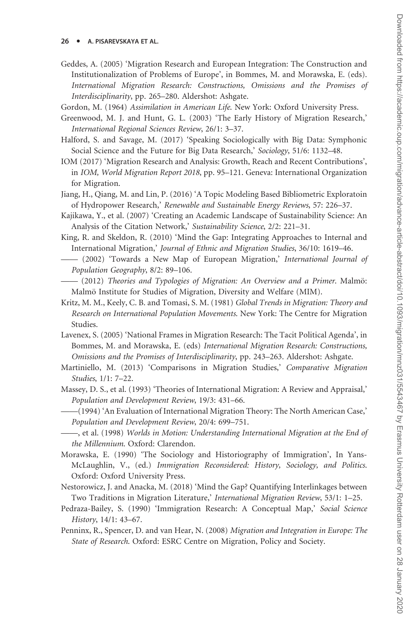<span id="page-25-0"></span>Geddes, A. (2005) 'Migration Research and European Integration: The Construction and Institutionalization of Problems of Europe', in Bommes, M. and Morawska, E. (eds). International Migration Research: Constructions, Omissions and the Promises of Interdisciplinarity, pp. 265–280. Aldershot: Ashgate.

Gordon, M. (1964) Assimilation in American Life. New York: Oxford University Press.

- Greenwood, M. J. and Hunt, G. L. (2003) 'The Early History of Migration Research,' International Regional Sciences Review, 26/1: 3–37.
- Halford, S. and Savage, M. (2017) 'Speaking Sociologically with Big Data: Symphonic Social Science and the Future for Big Data Research,' Sociology, 51/6: 1132–48.
- IOM (2017) 'Migration Research and Analysis: Growth, Reach and Recent Contributions', in IOM, World Migration Report 2018, pp. 95–121. Geneva: International Organization for Migration.
- Jiang, H., Qiang, M. and Lin, P. (2016) 'A Topic Modeling Based Bibliometric Exploratoin of Hydropower Research,' Renewable and Sustainable Energy Reviews, 57: 226–37.
- Kajikawa, Y., et al. (2007) 'Creating an Academic Landscape of Sustainability Science: An Analysis of the Citation Network,' Sustainability Science, 2/2: 221–31.
- King, R. and Skeldon, R. (2010) 'Mind the Gap: Integrating Approaches to Internal and International Migration,' Journal of Ethnic and Migration Studies, 36/10: 1619–46.
- —— (2002) 'Towards a New Map of European Migration,' International Journal of Population Geography, 8/2: 89–106.
- $-$  (2012) Theories and Typologies of Migration: An Overview and a Primer. Malmö: Malmö Institute for Studies of Migration, Diversity and Welfare (MIM).
- Kritz, M. M., Keely, C. B. and Tomasi, S. M. (1981) Global Trends in Migration: Theory and Research on International Population Movements. New York: The Centre for Migration Studies.
- Lavenex, S. (2005) 'National Frames in Migration Research: The Tacit Political Agenda', in Bommes, M. and Morawska, E. (eds) International Migration Research: Constructions, Omissions and the Promises of Interdisciplinarity, pp. 243–263. Aldershot: Ashgate.
- Martiniello, M. (2013) 'Comparisons in Migration Studies,' Comparative Migration Studies, 1/1: 7–22.
- Massey, D. S., et al. (1993) 'Theories of International Migration: A Review and Appraisal,' Population and Development Review, 19/3: 431–66.
- ——(1994) 'An Evaluation of International Migration Theory: The North American Case,' Population and Development Review, 20/4: 699–751.
- ——, et al. (1998) Worlds in Motion: Understanding International Migration at the End of the Millennium. Oxford: Clarendon.
- Morawska, E. (1990) 'The Sociology and Historiography of Immigration', In Yans-McLaughlin, V., (ed.) Immigration Reconsidered: History, Sociology, and Politics. Oxford: Oxford University Press.
- Nestorowicz, J. and Anacka, M. (2018) 'Mind the Gap? Quantifying Interlinkages between Two Traditions in Migration Literature,' International Migration Review, 53/1: 1–25.
- Pedraza-Bailey, S. (1990) 'Immigration Research: A Conceptual Map,' Social Science History, 14/1: 43–67.
- Penninx, R., Spencer, D. and van Hear, N. (2008) Migration and Integration in Europe: The State of Research. Oxford: ESRC Centre on Migration, Policy and Society.